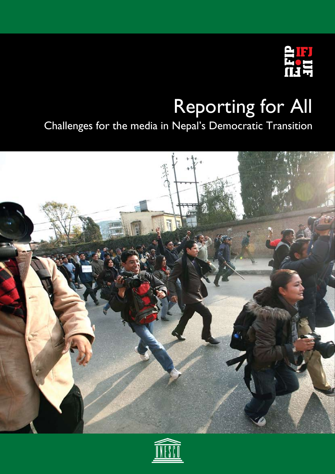

# Reporting for All

Challenges for the media in Nepal's Democratic Transition



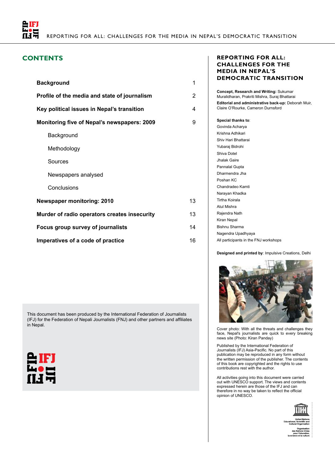

### **CONTENTS**

| <b>Background</b>                                  | 1  |  |  |
|----------------------------------------------------|----|--|--|
| Profile of the media and state of journalism       | 2  |  |  |
| Key political issues in Nepal's transition         | 4  |  |  |
| <b>Monitoring five of Nepal's newspapers: 2009</b> | 9  |  |  |
| Background                                         |    |  |  |
| Methodology                                        |    |  |  |
| Sources                                            |    |  |  |
| Newspapers analysed                                |    |  |  |
| Conclusions                                        |    |  |  |
| <b>Newspaper monitoring: 2010</b>                  | 13 |  |  |
| Murder of radio operators creates insecurity       | 13 |  |  |
| Focus group survey of journalists                  |    |  |  |
| Imperatives of a code of practice                  | 16 |  |  |

This document has been produced by the International Federation of Journalists (IFJ) for the Federation of Nepali Journalists (FNJ) and other partners and affiliates in Nepal.



#### **Reporting for All: Challenges for the media in Nepal's Democratic Transition**

**Concept, Research and Writing:** Sukumar Muralidharan, Prakriti Mishra, Suraj Bhattarai **Editorial and administrative back-up:** Deborah Muir, Claire O'Rourke, Cameron Durnsford

| Special thanks to:                    |
|---------------------------------------|
| Govinda Acharya                       |
| Krishna Adhikari                      |
| Shiy Hari Bhattarai                   |
| Yubaraj Bidrohi                       |
| Shiva Dotel                           |
| Jhalak Gaire                          |
| Pannalal Gupta                        |
| Dharmendra Jha                        |
| Poshan KC                             |
| Chandradeo Kamti                      |
| Narayan Khadka                        |
| Tirtha Koirala                        |
| Atul Mishra                           |
| Rajendra Nath                         |
| Kiran Nepal                           |
| Bishnu Sharma                         |
| Nagendra Upadhyaya                    |
| All participants in the FNJ workshops |

**Designed and printed by**: Impulsive Creations, Delhi



Cover photo: With all the threats and challenges they face, Nepal's journalists are quick to every breaking news site (Photo: Kiran Panday)

Published by the International Federation of Journalists (IFJ) Asia-Pacific. No part of this publication may be reproduced in any form without the written permission of the publisher. The contents of this book are copyrighted and the rights to use contributions rest with the author.

All activities going into this document were carried out with UNESCO support. The views and contents expressed herein are those of the IFJ and can therefore in no way be taken to reflect the official opinion of UNESCO.

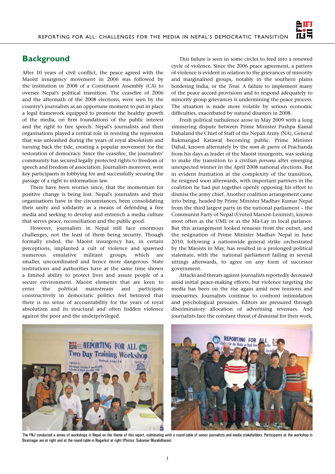

## **Background**

After 10 years of civil conflict, the peace agreed with the Maoist insurgency movement in 2006 was followed by the institution in 2008 of a Constituent Assembly (CA) to oversee Nepal's political transition. The ceasefire of 2006 and the aftermath of the 2008 elections, were seen by the country's journalists as an opportune moment to put in place a legal framework equipped to promote the healthy growth of the media, on firm foundations of the public interest and the right to free speech. Nepal's journalists and their organisations played a central role in resisting the repression that was unleashed during the years of royal absolutism and turning back the tide, creating a popular movement for the restoration of democracy. Since the ceasefire, the journalists' community has secured legally protected rights to freedom of speech and freedom of association. Journalists moreover, were key participants in lobbying for and successfully securing the passage of a right to information law.

There have been worries since, that the momentum for positive change is being lost. Nepal's journalists and their organisations have in the circumstances, been consolidating their unity and solidarity as a means of defending a free media and seeking to develop and entrench a media culture that serves peace, reconciliation and the public good.

However, journalists in Nepal still face enormous challenges, not the least of them being security. Though formally ended, the Maoist insurgency has, in certain perceptions, implanted a cult of violence and spawned numerous emulative militant groups, which are smaller, uncoordinated and hence more dangerous. State institutions and authorities have at the same time shown a limited ability to protect lives and assure people of a secure environment. Maoist elements that are keen to enter the political mainstream and participate constructively in democratic politics feel betrayed that there is no sense of accountability for the years of royal absolutism and its structural and often hidden violence against the poor and the underprivileged.

This failure is seen in some circles to feed into a renewed cycle of violence. Since the 2006 peace agreement, a pattern of violence is evident in relation to the grievances of minority and marginalised groups, notably in the southern plains bordering India, or the *Terai*. A failure to implement many of the peace accord provisions and to respond adequately to minority group grievances is undermining the peace process. The situation is made more volatile by serious economic difficulties, exacerbated by natural disasters in 2008.

Fresh political turbulence arose in May 2009 with a long simmering dispute between Prime Minister Pushpa Kamal Dahaland the Chief of Staff of the Nepali Army (NA), General Rukmangad Katawal becoming public. Prime Minister Dahal, known alternately by the *nom de guerre* of Prachanda from his days as leader of the Maoist insurgents, was seeking to make the transition to a civilian *persona* after emerging unexpected winner in the April 2008 national elections. But in evident frustration at the complexity of the transition, he resigned soon afterwards, with important partners in the coalition he had put together openly opposing his effort to dismiss the army chief. Another coalition arrangement came into being, headed by Prime Minister Madhav Kumar Nepal from the third largest party in the national parliament – the Communist Party of Nepal (United Marxist-Leninist), known most often as the UML or as the Ma-Lay in local parlance. But this arrangement looked tenuous from the outset, and the resignation of Prime Minister Madhav Nepal in June 2010, following a nationwide general strike orchestrated by the Maoists in May, has resulted in a prolonged political stalemate, with the national parliament failing in several sittings afterwards, to agree on any form of successor government.

Attacks and threats against journalists reportedly decreased amid initial peace-making efforts, but violence targeting the media has been on the rise again amid new tensions and insecurities. Journalists continue to confront intimidation and psychological pressures. Editors are pressured through discriminatory allocation of advertising revenues. And journalists face the constant threat of dismissal for their work,



The FNJ conducted a series of workshops in Nepal on the theme of this report, culminating with a round-table of senior journalists and media stakeholders. Participants at the workshop in Biratnagar are at right and at the round-table in Nagarkot at right (Photos: Sukumar Muralidharan)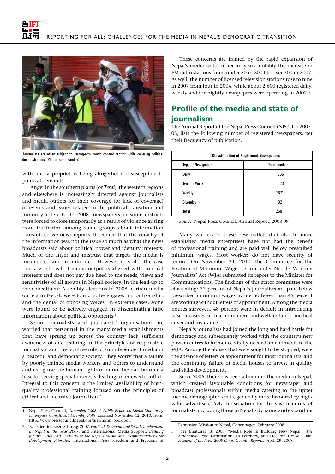



Journalists are often subject to strong-arm crowd control tactics while covering political demonstrations (Photo: Kiran Pandey)

with media proprietors being altogether too susceptible to political demands.

Anger in the southern plains (or *Terai*), the western regions and elsewhere is increasingly directed against journalists and media outlets for their coverage (or lack of coverage) of events and issues related to the political transition and minority interests. In 2008, newspapers in some districts were forced to close temporarily as a result of violence arising from frustration among some groups about information transmitted *via* news reports. It seemed that the veracity of the information was not the issue so much as what the news broadcasts said about political power and identity interests. Much of the anger and mistrust that targets the media is misdirected and misinformed. However it is also the case that a good deal of media output is aligned with political interests and does not pay due heed to the needs, views and sensitivities of all groups in Nepali society. In the lead-up to the Constituent Assembly elections in 2008, certain media outlets in Nepal, were found to be engaged in partisanship and the denial of opposing voices. In extreme cases, some were found to be actively engaged in disseminating false information about political opponents.<sup>1</sup>

Senior journalists and journalists' organisations are worried that personnel in the many media establishments that have sprung up across the country lack sufficient awareness of and training in the principles of responsible journalism and the positive role of an independent media in a peaceful and democratic society. They worry that a failure by poorly trained media workers and others to understand and recognise the human rights of minorities can become a base for serving special interests, leading to renewed conflict. Integral to this concern is the limited availability of highquality professional training focused on the principles of ethical and inclusive journalism.2

These concerns are framed by the rapid expansion of Nepal's media sector in recent years, notably the increase in FM radio stations from under 50 in 2004 to over 300 in 2007. As well, the number of licensed television stations rose to nine in 2007 from four in 2004, while about 2,600 registered daily, weekly and fortnightly newspapers were operating in 2007.3

# **Profile of the media and state of journalism**

The Annual Report of the Nepal Press Council (NPC) for 2007- 08, lists the following number of registered newspapers, per their frequency of publication.

| <b>Classification of Registered Newspapers</b> |                     |  |  |  |  |
|------------------------------------------------|---------------------|--|--|--|--|
| <b>Type of Newspaper</b>                       | <b>Total number</b> |  |  |  |  |
| Daily                                          | 386                 |  |  |  |  |
| <b>Twice a Week</b>                            | 23                  |  |  |  |  |
| Weekly                                         | 1871                |  |  |  |  |
| Biweekly                                       | 321                 |  |  |  |  |
| Total                                          | 2601                |  |  |  |  |

*Source:* Nepal Press Council, Annual Report, 2008-09

Many workers in these new outlets (but also in more established media enterprises) have not had the benefit of professional training and are paid well below prescribed minimum wages. Most workers do not have security of tenure. On November 24, 2010, the Committee for the Fixation of Minimum Wages set up under Nepal's Working Journalists' Act (WJA) submitted its report to the Minister for Communications. The findings of this stator committee were chastening: 37 percent of Nepal's journalists are paid below prescribed minimum wages, while no fewer than 45 percent are working without letters of appointment. Among the media houses surveyed, 48 percent were in default in introducing basic measures such as retirement and welfare funds, medical cover and insurance.

Nepal's journalists had joined the long and hard battle for democracy and subsequently worked with the country's new power centres to introduce vitally needed amendments to the WJA. Among the abuses that were sought to be stopped, were the absence of letters of appointment for most journalists, and the continuing failure of media houses to invest in quality and skills development.

Since 2006, there has been a boom in the media in Nepal, which created favourable conditions for newspaper and broadcast professionals within media catering to the upper income demographic strata, generally more favoured by highvalue advertisers. Yet, the situation for the vast majority of journalists, including those in Nepal's dynamic and expanding

<sup>1</sup> Nepal Press Council, *Campaign 2008, A Public Report on Media Monitoring for Nepal's Constituent Assembly Polls*, accessed November 12, 2010, from: http://www.presscouncilnepal.org/files/mmp\_book.pdf.

<sup>2</sup> See Friedrich Ebert Stiftung, 2007. *Political, Economic and Social Development in Nepal in the Year 2007.* and International Media Support, *Building for the Future: An Overview of the Nepal's Media and Recommendations for Development Priorities*, International Press Freedom and Freedom of

Expression Mission to Nepal, Copenhagen, February 2008.

<sup>3</sup> See Bhattarai, B. 2008. "Media Role in Building New Nepal". *The Kathmandu Post*. Kathmandu. 19 February, and Freedom House. 2008. *Freedom of the Press 2008 (Draft Country Reports)*, April 29, 2008.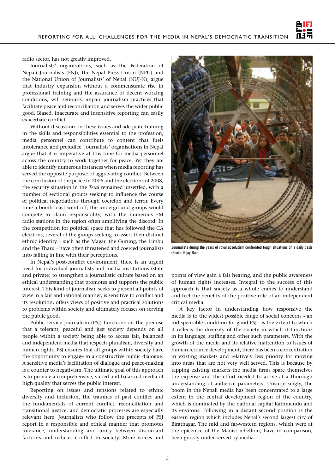

radio sector, has not greatly improved.

Journalists' organisations, such as the Federation of Nepali Journalists (FNJ), the Nepal Press Union (NPU) and the National Union of Journalists' of Nepal (NUJ-N), argue that industry expansion without a commensurate rise in professional training and the assurance of decent working conditions, will seriously impair journalism practices that facilitate peace and reconciliation and serves the wider public good. Biased, inaccurate and insensitive reporting can easily exacerbate conflict.

Without discussion on these issues and adequate training in the skills and responsibilities essential to the profession, media personnel can contribute to content that fuels intolerance and prejudice. Journalists' organisations in Nepal argue that it is imperative at this time for media personnel across the country to work together for peace. Yet they are able to identify numerous instances when media reporting has served the opposite purpose: of aggravating conflict. Between the conclusion of the peace in 2006 and the elections of 2008, the security situation in the *Terai* remained unsettled, with a number of sectional groups seeking to influence the course of political negotiations through coercion and terror. Every time a bomb blast went off, the underground groups would compete to claim responsibility, with the numerous FM radio stations in the region often amplifying the discord. In the competition for political space that has followed the CA elections, several of the groups seeking to assert their distinct ethnic identity – such as the Magar, the Gurung, the Limbu and the Tharu – have often threatened and coerced journalists into falling in line with their perceptions.

In Nepal's post-conflict environment, there is an urgent need for individual journalists and media institutions (state and private) to strengthen a journalistic culture based on an ethical understanding that promotes and supports the public interest. This kind of journalism seeks to present all points of view in a fair and rational manner, is sensitive to conflict and its resolution, offers views of positive and practical solutions to problems within society and ultimately focuses on serving the public good.

Public service journalism (PSJ) functions on the premise that a tolerant, peaceful and just society depends on all people within a society being able to access fair, balanced and independent media that respects pluralism, diversity and human rights. PSJ ensures that all groups within society have the opportunity to engage in a constructive public dialogue. A sensitive media's facilitation of dialogue and peace-making is a counter to negativism. The ultimate goal of this approach is to provide a comprehensive, varied and balanced media of high quality that serves the public interest.

Reporting on issues and tensions related to ethnic diversity and inclusion, the traumas of past conflict and the fundamentals of current conflict, reconciliation and transitional justice, and democratic processes are especially relevant here. Journalists who follow the precepts of PSJ report in a responsible and ethical manner that promotes tolerance, understanding and unity between discordant factions and reduces conflict in society. More voices and



Journalists during the years of royal absolutism confronted tough situations on a daily basis (Photo: Bijay Rai)

points of view gain a fair hearing, and the public awareness of human rights increases. Integral to the success of this approach is that society as a whole comes to understand and feel the benefits of the positive role of an independent critical media.

A key factor in understanding how responsive the media is to the widest possible range of social concerns - an indispensable condition for good PSJ - is the extent to which it reflects the diversity of the society in which it functions in its language, staffing and other such parameters. With the growth of the media and its relative inattention to issues of human resource development, there has been a concentration in existing markets and relatively less priority for moving into areas that are not very well served. This is because by tapping existing markets the media firms spare themselves the expense and the effort needed to arrive at a thorough understanding of audience parameters. Unsurprisingly, the boom in the Nepali media has been concentrated to a large extent in the central development region of the country, which is dominated by the national capital Kathmandu and its environs. Following in a distant second position is the eastern region which includes Nepal's second largest city of Biratnagar. The mid and far-western regions, which were at the epicentre of the Maoist rebellion, have in comparison, been grossly under-served by media.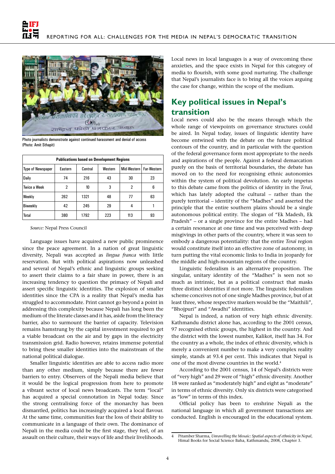

Photo journalists demonstrate against continued harassment and denial of access (Photo: Amit Sthapit)

| <b>Publications based on Development Regions</b> |         |         |         |             |             |  |  |
|--------------------------------------------------|---------|---------|---------|-------------|-------------|--|--|
| <b>Type of Newspaper</b>                         | Eastern | Central | Western | Mid-Western | Far-Western |  |  |
| Daily                                            | 74      | 216     | 43      | 30          | 23          |  |  |
| <b>Twice a Week</b>                              | 2       | 10      | 3       | 2           | 6           |  |  |
| Weekly                                           | 262     | 1321    | 48      | 77          | 63          |  |  |
| Biweekly                                         | 42      | 245     | 29      | 4           |             |  |  |
| Total                                            | 380     | 1792    | 223     | 113         | 93          |  |  |

*Source:* Nepal Press Council

Language issues have acquired a new public prominence since the peace agreement. In a nation of great linguistic diversity, Nepali was accepted as *lingua franca* with little reservation. But with political aspirations now unleashed and several of Nepal's ethnic and linguistic groups seeking to assert their claims to a fair share in power, there is an increasing tendency to question the primacy of Nepali and assert specific linguistic identities. The explosion of smaller identities since the CPA is a reality that Nepal's media has struggled to accommodate. Print cannot go beyond a point in addressing this complexity because Nepali has long been the medium of the literate classes and it has, aside from the literacy barrier, also to surmount the barrier of capacity. Television remains hamstrung by the capital investment required to get a viable broadcast on the air and by gaps in the electricity transmission grid. Radio however, retains immense potential to bring these smaller identities into the mainstream of the national political dialogue.

Smaller linguistic identities are able to access radio more than any other medium, simply because there are fewer barriers to entry. Observers of the Nepali media believe that it would be the logical progression from here to promote a vibrant sector of local news broadcasts. The term "local" has acquired a special connotation in Nepal today. Since the strong centralising force of the monarchy has been dismantled, politics has increasingly acquired a local flavour. At the same time, communities fear the loss of their ability to communicate in a language of their own. The dominance of Nepali in the media could be the first stage, they feel, of an assault on their culture, their ways of life and their livelihoods. Local news in local languages is a way of overcoming these anxieties, and the space exists in Nepal for this category of media to flourish, with some good nurturing. The challenge that Nepal's journalists face is to bring all the voices arguing the case for change, within the scope of the medium.

# **Key political issues in Nepal's transition**

Local news could also be the means through which the whole range of viewpoints on governance structures could be aired. In Nepal today, issues of linguistic identity have become entwined with the debate on the future political contours of the country, and in particular with the question of the federal governance form most appropriate to the needs and aspirations of the people. Against a federal demarcation purely on the basis of territorial boundaries, the debate has moved on to the need for recognising ethnic autonomies within the system of political devolution. An early impetus to this debate came from the politics of identity in the *Terai*, which has lately adopted the cultural – rather than the purely territorial – identity of the "Madhes" and asserted the principle that the entire southern plains should be a single autonomous political entity. The slogan of "Ek Madesh, Ek Pradesh" – or a single province for the entire Madhes – had a certain resonance at one time and was perceived with deep misgivings in other parts of the country, where it was seen to embody a dangerous potentiality: that the entire *Terai* region would constitute itself into an effective zone of autonomy, in turn putting the vital economic links to India in jeopardy for the middle and high-mountain regions of the country.

Linguistic federalism is an alternative proposition. The singular, unitary identity of the "Madhes" is seen not so much as intrinsic, but as a political construct that masks three distinct identities if not more. The linguistic federalism scheme conceives not of one single Madhes province, but of at least three, whose respective markers would be the "Maithili", "Bhojpuri" and "Awadhi" identities.

Nepal is indeed, a nation of very high ethnic diversity. Kathmandu district alone has, according to the 2001 census, 97 recognised ethnic groups, the highest in the country. And the district with the lowest number, Kalikot, itself has 34. For the country as a whole, the index of ethnic diversity, which is merely a convenient number to make a very complex reality simple, stands at 93.4 per cent. This indicates that Nepal is one of the most diverse countries in the world.4

According to the 2001 census, 14 of Nepal's districts were of "very high" and 29 were of "high" ethnic diversity. Another 18 were ranked as "moderately high" and eight as "moderate" in terms of ethnic diversity. Only six districts were categorised as "low" in terms of this index.

Official policy has been to enshrine Nepali as the national language in which all government transactions are conducted. English is encouraged in the educational system.

<sup>4</sup> Pitamber Sharma, *Unravelling the Mosaic: Spatial aspects of ethnicity in Nepal*, Himal Books for Social Science Baha, Kathmandu, 2008, Chapter 3.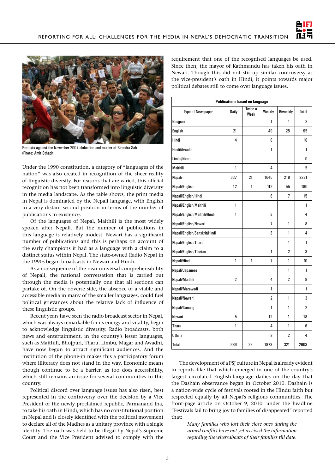



Protests against the November 2007 abduction and murder of Birendra Sah (Photo: Amit Sthapit)

Under the 1990 constitution, a category of "languages of the nation" was also created in recognition of the sheer reality of linguistic diversity. For reasons that are varied, this official recognition has not been transformed into linguistic diversity in the media landscape. As the table shows, the print media in Nepal is dominated by the Nepali language, with English in a very distant second position in terms of the number of publications in existence.

Of the languages of Nepal, Maithili is the most widely spoken after Nepali. But the number of publications in this language is relatively modest. Newari has a significant number of publications and this is perhaps on account of the early champions it had as a language with a claim to a distinct status within Nepal. The state-owned Radio Nepal in the 1990s began broadcasts in Newari and Hindi.

As a consequence of the near universal comprehensibility of Nepali, the national conversation that is carried out through the media is potentially one that all sections can partake of. On the obverse side, the absence of a viable and accessible media in many of the smaller languages, could fuel political grievances about the relative lack of influence of these linguistic groups.

Recent years have seen the radio broadcast sector in Nepal, which was always remarkable for its energy and vitality, begin to acknowledge linguistic diversity. Radio broadcasts, both news and entertainment, in the country's lesser languages, such as Maithili, Bhojpuri, Tharu, Limbu, Magar and Awadhi, have now begun to attract significant audiences. And the institution of the phone-in makes this a participatory forum where illiteracy does not stand in the way. Economic means though continue to be a barrier, as too does accessibility, which still remains an issue for several communities in this country.

Political discord over language issues has also risen, best represented in the controversy over the decision by a Vice President of the newly proclaimed republic, Parmanand Jha, to take his oath in Hindi, which has no constitutional position in Nepal and is closely identified with the political movement to declare all of the Madhes as a unitary province with a single identity. The oath was held to be illegal by Nepal's Supreme Court and the Vice President advised to comply with the requirement that one of the recognised languages be used. Since then, the mayor of Kathmandu has taken his oath in Newari. Though this did not stir up similar controversy as the vice-president's oath in Hindi, it points towards major political debates still to come over language issues.

| <b>Publications based on language</b> |              |                 |                |                 |                |  |  |
|---------------------------------------|--------------|-----------------|----------------|-----------------|----------------|--|--|
| <b>Type of Newspaper</b>              | Daily        | Twice a<br>Week | Weekly         | <b>Biweekly</b> | Total          |  |  |
| Bhojpuri                              |              |                 | 1              | 1               | 2              |  |  |
| English                               | 21           |                 | 49             | 25              | 95             |  |  |
| Hindi                                 | 4            |                 | 6              |                 | 10             |  |  |
| Hindi/Awadhi                          |              |                 | 1              |                 | 1              |  |  |
| Limbu/Kirati                          |              |                 |                |                 | 0              |  |  |
| Maithili                              | 1            |                 | 4              |                 | 5              |  |  |
| Nepali                                | 337          | 21              | 1645           | 218             | 2221           |  |  |
| Nepali/English                        | 12           | 1               | 112            | 55              | 180            |  |  |
| Nepali/English/Hindi                  |              |                 | 8              | 7               | 15             |  |  |
| Nepali/English/Maithili               | 1            |                 |                |                 | 1              |  |  |
| Nepali/English/Maithili/Hindi         | 1            |                 | 3              |                 | 4              |  |  |
| Nepali/English/Newari                 |              |                 | $\overline{1}$ | 1               | 8              |  |  |
| Nepali/English/Sanskrit/Hindi         |              |                 | 3              | 1               | 4              |  |  |
| Nepali/English/Tharu                  |              |                 |                | 1               | 1              |  |  |
| Nepali/English/Tibetan                |              |                 | 1              | $\overline{2}$  | 3              |  |  |
| Nepali/Hindi                          | $\mathbf{1}$ | 1               | $\overline{7}$ | 1               | 10             |  |  |
| Nepali/Japanese                       |              |                 |                | 1               | 1              |  |  |
| Nepali/Maithili                       | 2            |                 | 4              | 2               | 8              |  |  |
| Nepali/Marawadi                       |              |                 | 1              |                 | 1              |  |  |
| Nepali/Newari                         |              |                 | $\overline{2}$ | 1               | 3              |  |  |
| Nepali/Tamang                         |              |                 | 1              | 1               | $\overline{2}$ |  |  |
| Newari                                | 5            |                 | 12             | 1               | 18             |  |  |
| Tharu                                 | 1            |                 | 4              | 1               | 6              |  |  |
| <b>Others</b>                         |              |                 | $\overline{2}$ | $\overline{2}$  | 4              |  |  |
| Total                                 | 386          | 23              | 1873           | 321             | 2603           |  |  |

The development of a PSJ culture in Nepal is already evident in reports like that which emerged in one of the country's largest circulated English-language dailies on the day that the Dashain observance began in October 2010. Dashain is a nation-wide cycle of festivals rooted in the Hindu faith but respected equally by all Nepal's religious communities. The front-page article on October 9, 2010, under the headline "Festivals fail to bring joy to families of disappeared" reported that:

> *Many families who lost their close ones during the armed conflict have not yet received the information regarding the whereabouts of their families till date.*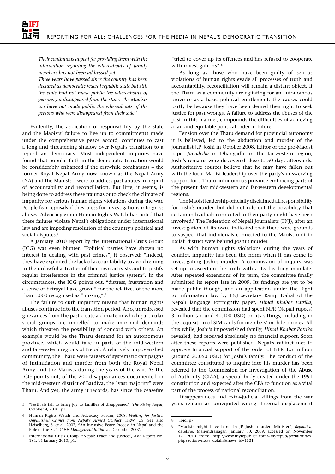*Their continuous appeal for providing them with the information regarding the whereabouts of family members has not been addressed yet.*

*Three years have passed since the country has been declared as democratic federal republic state but still the state had not made public the whereabouts of persons got disappeared from the state. The Maoists too have not made public the whereabouts of the persons who were disappeared from their side.5*

Evidently, the abdication of responsibility by the state and the Maoists' failure to live up to commitments made under the comprehensive peace accord, continues to cast a long and threatening shadow over Nepal's transition to a republican democracy. Most independent inquiries have found that popular faith in the democratic transition would be considerably enhanced if the erstwhile combatants – the former Royal Nepal Army now known as the Nepal Army (NA) and the Maoists – were to address past abuses in a spirit of accountability and reconciliation. But litte, it seems, is being done to address these traumas or to check the climate of impunity for serious human rights violations during the war. People fear reprisals if they press for investigations into gross abuses. Advocacy group Human Rights Watch has noted that these failures violate Nepal's obligations under international law and are impeding resolution of the country's political and social disputes.<sup>6</sup>

A January 2010 report by the International Crisis Group (ICG) was even blunter. "Political parties have shown no interest in dealing with past crimes", it observed: "Indeed, they have exploited the lack of accountability to avoid reining in the unlawful activities of their own activists and to justify regular interference in the criminal justice system". In the circumstances, the ICG points out, "distress, frustration and a sense of betrayal have grown" for the relatives of the more than 1,000 recognised as "missing".7

The failure to curb impunity means that human rights abuses continue into the transition period. Also, unredressed grievances from the past create a climate in which particular social groups are impelled to make maximal demands which threaten the possibility of concord with others. An example would be the Tharu demand for an autonomous province, which would take in parts of the mid-western and far-western regions of Nepal. A relatively impoverished community, the Tharu were targets of systematic campaigns of intimidation and murder from both the Royal Nepal Army and the Maoists during the years of the war. As the ICG points out, of the 200 disappearances documented in the mid-western district of Bardiya, the "vast majority" were Tharu. And yet, the army it records, has since the ceasefire

"tried to cover up its offences and has refused to cooperate with investigations".<sup>8</sup>

As long as those who have been guilty of serious violations of human rights evade all processes of truth and accountability, reconciliation will remain a distant object. If the Tharu as a community are agitating for an autonomous province as a basic political entitlement, the causes could partly be because they have been denied their right to seek justice for past wrongs. A failure to address the abuses of the past in this manner, compounds the difficulties of achieving a fair and equitable political order in future.

Tension over the Tharu demand for provincial autonomy it is believed, led to the abduction and murder of the journalist J.P. Joshi in October 2008. Editor of the pro-Maoist paper *Janadisha* in Dhangadhi in the far-western region, Joshi's remains were discovered close to 50 days afterwards. Authoritative sources believe that he may have fallen out with the local Maoist leadership over the party's unswerving support for a Tharu autonomous province embracing parts of the present day mid-western and far-western developmental regions.

The Maoist leadership officially disclaimed all responsibility for Joshi's murder, but did not rule out the possibility that certain individuals connected to their party might have been involved.9 The Federation of Nepali Journalists (FNJ), after an investigation of its own, indicated that there were grounds to suspect that individuals connected to the Maoist unit in Kailali district were behind Joshi's murder.

As with human rights violations during the years of conflict, impunity has been the norm when it has come to investigating Joshi's murder. A commission of inquiry was set up to ascertain the truth with a 15-day long mandate. After repeated extensions of its term, the committee finally submitted its report late in 2009. Its findings are yet to be made public though, and an application under the Right to Information law by FNJ secretary Ramji Dahal of the Nepali language fortnightly paper, *Himal Khabar Patrika*, revealed that the commission had spent NPR (Nepali rupees) 3 million (around 40,100 USD) on its sittings, including in the acquisition of SIM cards for members' mobile phones. All this while, Joshi's impoverished family, *Himal Khabar Patrika*  revealed, had received absolutely no financial support. Soon after these reports were published, Nepal's cabinet met to approve financial support of the order of NPR 1.5 million (around 20,050 USD) for Joshi's family. The conduct of the committee constituted to inquire into his murder has been referred to the Commission for Investigation of the Abuse of Authority (CIAA), a special body created under the 1991 constitution and expected after the CPA to function as a vital part of the process of national reconciliation.

Disappearances and extra-judicial killings from the war years remain an unrequited wrong. Internal displacement

<sup>5</sup> "Festivals fail to bring joy to families of disappeared", *The Rising Nepal*, October 9, 2010, p1.

<sup>6</sup> Human Rights Watch and Advocacy Forum, 2008. *Waiting for Justice: Unpunished Crimes from Nepal's Armed Conflict*. HRW. US. See also Heiselberg, S. et al. 2007, "An Inclusive Peace Process in Nepal and the Role of the EU". *Crisis Management Initiative*. December 2007.

International Crisis Group, "Nepal: Peace and Justice", Asia Report No. 184, 14 January 2010, p1.

<sup>8</sup> Ibid, p7.

<sup>9</sup> "Maoists might have hand in JP Joshi murder: Minister", *Republica*, dateline: Mahendranagar, January 30, 2009; accessed on November 12, 2010 from: http://www.myrepublica.com/~myrepub/portal/index. php?action=news\_details&news\_id=1531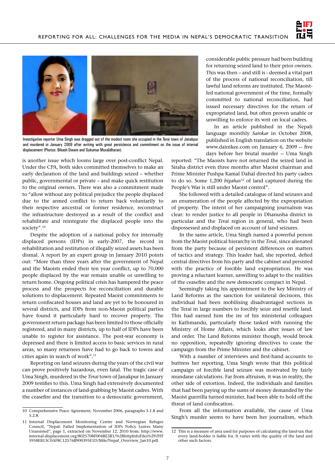



Investigative reporter Uma Singh was dragged out of the modest room she occupied in the Terai town of Janakpur and murdered in January 2009 after writing with great persistence and commitment on the issue of internal displacement (Photos: Bikash Dware and Sukumar Muralidharan).

is another issue which looms large over post-conflict Nepal. Under the CPA, both sides committed themselves to make an early declaration of the land and buildings seized – whether public, governmental or private – and make quick restitution to the original owners. There was also a commitment made to "allow without any political prejudice the people displaced due to the armed conflict to return back voluntarily to their respective ancestral or former residence, reconstruct the infrastructure destroyed as a result of the conflict and rehabilitate and reintegrate the displaced people into the society".10

Despite the adoption of a national policy for internally displaced persons (IDPs) in early-2007, the record in rehabilitation and restitution of illegally seized assets has been dismal. A report by an expert group in January 2010 points out: "More than three years after the government of Nepal and the Maoists ended their ten year conflict, up to 70,000 people displaced by the war remain unable or unwilling to return home. Ongoing political crisis has hampered the peace process and the prospects for reconciliation and durable solutions to displacement. Repeated Maoist commitments to return confiscated houses and land are yet to be honoured in several districts, and IDPs from non-Maoist political parties have found it particularly hard to recover property. The government return package has been limited to those officially registered, and in many districts, up to half of IDPs have been unable to register for assistance. The post-war economy is depressed and there is limited access to basic services in rural areas, so many returnees have had to go back to towns and cities again in search of work".<sup>11</sup>

Reporting on land seizures during the years of the civil war can prove positively hazardous, even fatal. The tragic case of Uma Singh, murdered in the *Terai* town of Janakpur in January 2009 testifies to this. Uma Singh had extensively documented a number of instances of land-grabbing by Maoist cadres. With the ceasefire and the transition to a democratic government,

considerable public pressure had been building for returning seized land to their prior owners. This was then – and still is - deemed a vital part of the process of national reconciliation, till lawful land reforms are instituted. The Maoistled national government of the time, formally committed to national reconciliation, had issued necessary directives for the return of expropriated land, but often proven unable or unwilling to enforce its writ on local cadres.

In an article published in the Nepali language monthly *Sarokar* in October 2008, published in English translation on the website www.dainikee.com on January 6, 2009 -- five days before her brutal murder -- Uma Singh

reported: "The Maoists have not returned the seized land in Siraha district even three months after Maoist chairman and Prime Minister Pushpa Kamal Dahal directed his party cadres to do so. Some 1,200 *bigahas<sup>12</sup>* of land captured during the People's War is still under Maoist control".

She followed with a detailed catalogue of land seizures and an enumeration of the people affected by the expropriation of property. The intent of her campaigning journalism was clear: to render justice to all people in Dhanusha district in particular and the *Terai* region in general, who had been dispossessed and displaced on account of land seizures.

In the same article, Uma Singh named a powerful person from the Maoist political hierarchy in the *Terai*, since alienated from the party because of persistent differences on matters of tactics and strategy. This leader had, she reported, defied central directives from his party and the cabinet and persisted with the practice of forcible land expropriation. He was proving a reluctant learner, unwilling to adapt to the realities of the ceasefire and the new democratic compact in Nepal.

Seemingly taking his appointment to the key Ministry of Land Reforms as the sanction for unilateral decisions, this individual had been mobilising disadvantaged sections in the Terai in large numbers to forcibly seize and resettle land. This had earned him the ire of his ministerial colleagues in Kathmandu, particularly those tasked with running the Ministry of Home Affairs, which looks after issues of law and order. The Land Reforms minister though, would brook no opposition, repeatedly ignoring directives to cease the campaign from the Prime Minister and the cabinet.

With a number of interviews and first-hand accounts to buttress her reporting, Uma Singh wrote that this political campaign of forcible land seizure was motivated by fairly mundane calculations. Far from altruism, it was in reality, the other side of extortion. Indeed, the individuals and families that had been paying up the sums of money demanded by the Maoist guerrilla turned minister, had been able to hold off the threat of land confiscation.

From all the information available, the cause of Uma Singh's murder seems to have been her journalism, which

<sup>10</sup> Comprehensive Peace Agreement, November 2006, paragraphs 5.1.8 and 5.2.8.

<sup>11</sup> Internal Displacement Monitoring Centre and Norwegian Refugee Council, "Nepal: Failed Implementation of IDPs Policy Leaves Many Unassisted", page 1, extracted on November 12, 2010 from: http://www. internal-displacement.org/8025708F004BE3B1/%28httpInfoFiles%29/FFF 5958EB13C0AF8C12576B900395E1D/\$file/Nepal\_Overview\_Jan10.pdf.

<sup>12</sup> This is a measure of area used for purposes of calculating the land-tax that every land-holder is liable for. It varies with the quality of the land and other such factors.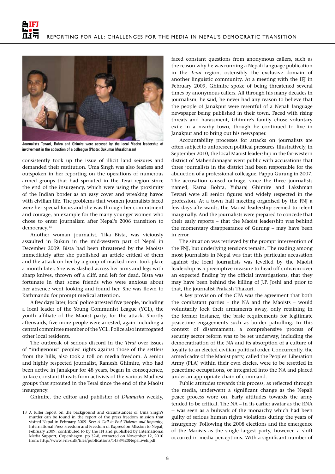

Journalists Tewari, Bohra and Ghimire were accused by the local Maoist leadership of involvement in the abduction of a colleague (Photo: Sukumar Muralidharan)

consistently took up the issue of illicit land seizures and demanded their restitution. Uma Singh was also fearless and outspoken in her reporting on the operations of numerous armed groups that had sprouted in the Terai region since the end of the insurgency, which were using the proximity of the Indian border as an easy cover and wreaking havoc with civilian life. The problems that women journalists faced were her special focus and she was through her commitment and courage, an example for the many younger women who chose to enter journalism after Nepal's 2006 transition to democracy.<sup>13</sup>

Another woman journalist, Tika Bista, was viciously assaulted in Rukun in the mid-western part of Nepal in December 2009. Bista had been threatened by the Maoists immediately after she published an article critical of them and the attack on her by a group of masked men, took place a month later. She was slashed across her arms and legs with sharp knives, thrown off a cliff, and left for dead. Bista was fortunate in that some friends who were anxious about her absence went looking and found her. She was flown to Kathmandu for prompt medical attention.

A few days later, local police arrested five people, including a local leader of the Young Communist League (YCL), the youth affiliate of the Maoist party, for the attack. Shortly afterwards, five more people were arrested, again including a central committee member of the YCL. Police also interrogated other local residents.

The outbreak of serious discord in the *Terai* over issues of "indigenous" peoples' rights against those of the settlers from the hills, also took a toll on media freedom. A senior and highly respected journalist, Ramesh Ghimire, who had been active in Janakpur for 48 years, began in consequence, to face constant threats from activists of the various Madhesi groups that sprouted in the Terai since the end of the Maoist insurgency.

Ghimire, the editor and publisher of *Dhanusha* weekly,

faced constant questions from anonymous callers, such as the reason why he was running a Nepali language publication in the *Terai* region, ostensibly the exclusive domain of another linguistic community. At a meeting with the IFJ in February 2009, Ghimire spoke of being threatened several times by anonymous callers. All through his many decades in journalism, he said, he never had any reason to believe that the people of Janakpur were resentful of a Nepali language newspaper being published in their town. Faced with rising threats and harassment, Ghimire's family chose voluntary exile in a nearby town, though he continued to live in Janakpur and to bring out his newspaper.

Accountability processes for attacks on journalists are often subject to unforeseen political pressures. Illustratively, in September 2010, the local Maoist leadership in the far-western district of Mahendranagar went public with accusations that three journalists in the district had been responsible for the abduction of a professional colleague, Pappu Gurung in 2007. The accusation caused outrage, since the three journalists named, Karna Bohra, Yubaraj Ghimire and Lakshman Tewari were all senior figures and widely respected in the profession. At a town hall meeting organised by the FNJ a few days afterwards, the Maoist leadership seemed to relent marginally. And the journalists were prepared to concede that their early reports – that the Maoist leadership was behind the momentary disappearance of Gurung – may have been in error.

The situation was retrieved by the prompt intervention of the FNJ, but underlying tensions remain. The reading among most journalists in Nepal was that this particular accusation against the local journalists was levelled by the Maoist leadership as a preemptive measure to head off criticism over an expected finding by the official investigations, that they may have been behind the killing of J.P. Joshi and prior to that, the journalist Prakash Thakuri.

A key provision of the CPA was the agreement that both the combatant parties – the NA and the Maoists – would voluntarily lock their armaments away, only retaining in the former instance, the basic requirements for legitimate peacetime engagements such as border patrolling. In this context of disarmament, a comprehensive process of security sector reform was to be set underway, including the democratisation of the NA and its absorption of a culture of loyalty to an elected civilian political order. Concurrently, the armed cadre of the Maoist party, called the Peoples' Liberation Army (PLA) within their own circles, were to be resettled in peacetime occupations, or integrated into the NA and placed under an appropriate chain of command.

Public attitudes towards this process, as reflected through the media, underwent a significant change as the Nepali peace process wore on. Early attitudes towards the army tended to be critical. The NA – in its earlier avatar as the RNA -- was seen as a bulwark of the monarchy which had been guilty of serious human rights violations during the years of insurgency. Following the 2008 elections and the emergence of the Maoists as the single largest party, however, a shift occurred in media perceptions. With a significant number of

<sup>13</sup> A fuller report on the background and circumstances of Uma Singh's murder can be found in the report of the press freedom mission that visited Nepal in February 2009. See: *A Call to End Violence and Impunity*, International Press Freedom and Freedom of Expression Mission to Nepal, February 2009, contributed to by the IFJ and published by International Media Support, Copenhagen, pp 32-8, extracted on November 12, 2010 from: http://www.i-m-s.dk/files/publications/1453%20Nepal.web.pdf.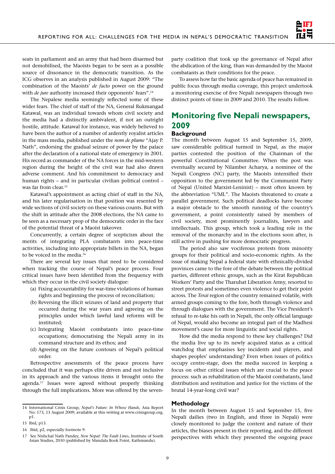

seats in parliament and an army that had been disarmed but not demobilised, the Maoists began to be seen as a possible source of dissonance in the democratic transition. As the ICG observes in an analysis published in August 2009: "The combination of the Maoists' *de facto* power on the ground with *de jure* authority increased their opponents' fears".<sup>14</sup>

The Nepalese media seemingly reflected some of these wider fears. The chief of staff of the NA, General Rukmangad Katawal, was an individual towards whom civil society and the media had a distinctly ambivalent, if not an outright hostile, attitude. Katawal for instance, was widely believed to have been the author of a number of ardently royalist articles in the mass media, published under the *nom de plume* "Ajay P. Nath", endorsing the gradual seizure of power by the palace after the declaration of a national state of emergency in 2001. His record as commander of the NA forces in the mid-western region during the height of the civil war had also drawn adverse comment. And his commitment to democracy and human rights – and in particular civilian political control – was far from clear.15

Katawal's appointment as acting chief of staff in the NA, and his later regularisation in that position was resented by wide sections of civil society on these various counts. But with the shift in attitude after the 2008 elections, the NA came to be seen as a necessary prop of the democratic order in the face of the potential threat of a Maoist takeover.

Concurrently, a certain degree of scepticism about the merits of integrating PLA combatants into peace-time activities, including into appropriate billets in the NA, began to be voiced in the media.<sup>16</sup>

There are several key issues that need to be considered when tracking the course of Nepal's peace process. Four critical issues have been identified from the frequency with which they occur in the civil society dialogue:

- (a) Fixing accountability for war-time violations of human rights and beginning the process of reconciliation;
- (b) Reversing the illicit seizures of land and property that occurred during the war years and agreeing on the principles under which lawful land reforms will be instituted;
- (c) Integrating Maoist combatants into peace-time occupations; democratising the Nepali army in its command structure and its ethos; and
- (d) Agreeing on the future contours of Nepal's political order.

Retrospective assessments of the peace process have concluded that it was perhaps elite driven and not inclusive in its approach and the various items it brought onto the agenda.17 Issues were agreed without properly thinking through the full implications. More was offered by the seven-

party coalition that took up the governance of Nepal after the abdication of the king, than was demanded by the Maoist combatants as their conditions for the peace.

To assess how far the basic agenda of peace has remained in public focus through media coverage, this project undertook a monitoring exercise of five Nepali newspapers through two distinct points of time in 2009 and 2010. The results follow.

## **Monitoring five Nepali newspapers, 2009**

#### **Background**

The month between August 15 and September 15, 2009, saw considerable political turmoil in Nepal, as the major parties contested the position of the Chairman of the powerful Constitutional Committee. When the post was eventually secured by Nilamber Acharya, a nominee of the Nepali Congress (NC) party, the Maoists intensified their opposition to the government led by the Communist Party of Nepal (United Marxist-Leninist) – most often known by the abbreviation "UML". The Maoists threatened to create a parallel government. Such political deadlocks have become a major obstacle to the smooth running of the country's government, a point consistently raised by members of civil society, most prominently journalists, lawyers and intellectuals. This group, which took a leading role in the removal of the monarchy and in the elections soon after, is still active in pushing for more democratic progress.

The period also saw vociferous protests from minority groups for their political and socio-economic rights. As the issue of making Nepal a federal state with ethnically-divided provinces came to the fore of the debate between the political parties, different ethnic groups, such as the Kirat Republican Workers' Party and the Tharuhat Liberation Army, resorted to street protests and sometimes even violence to get their point across. The *Terai* region of the country remained volatile, with armed groups coming to the fore, both through violence and through dialogues with the government. The Vice President's refusal to re-take his oath in Nepali, the only official language of Nepal, would also become an integral part of the Madhesi movement's cause for more linguistic and social rights.

How did the media respond to these key challenges? Did the media live up to its newly acquired status as a critical watchdog that emphasises key incidents and players, and shapes peoples' understanding? Even when issues of politics occupy centre-stage, does the media succeed in keeping a focus on other critical issues which are crucial to the peace process: such as rehabilitation of the Maoist combatants, land distribution and restitution and justice for the victims of the brutal 14-year-long civil war?

#### **Methodology**

In the month between August 15 and September 15, five Nepali dailies (two in English, and three in Nepali) were closely monitored to judge the content and nature of their articles, the biases present in their reporting, and the different perspectives with which they presented the ongoing peace

<sup>14</sup> International Crisis Group, *Nepal's Future: In Whose Hands,* Asia Report No: 173, 13 August 2009; available at this writing at www.crisisgroup.org, p1.

<sup>15</sup> Ibid, p13.

<sup>16</sup> Ibid, p2, especially footnote 9.

<sup>17</sup> See Nishchal Nath Pandey, *New Nepal: The Fault Lines*, Institute of South Asian Studies, 2010 (published by Mandala Book Point, Kathmandu).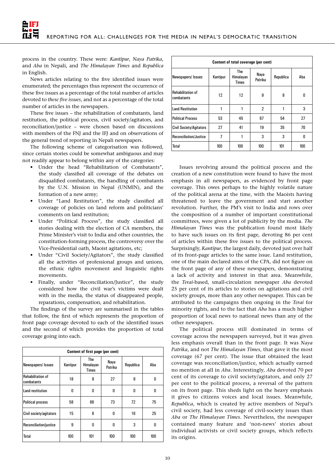process in the country. These were: *Kantipur*, *Naya Patrika*, and *Aba* in Nepali, and *The Himalayan Times* and *Republica*  in English.

News articles relating to the five identified issues were enumerated; the percentages thus represent the occurrence of these five issues as a percentage of the total number of articles devoted to *these five issues*, and not as a percentage of the total number of articles in the newspapers.

These five issues – the rehabilitation of combatants, land restitution, the political process, civil society/agitators, and reconciliation/justice – were chosen based on discussions with members of the FNJ and the IFJ and on observations of the general trend of reporting in Nepali newspapers.

The following scheme of categorisation was followed, since certain stories could be somewhat ambiguous and may not readily appear to belong within any of the categories:

- Under the head "Rehabilitation of Combatants", the study classified all coverage of the debates on disqualified combatants, the handling of combatants by the U.N. Mission in Nepal (UNMIN), and the formation of a new army;
- Under "Land Restitution", the study classified all coverage of policies on land reform and politicians' comments on land restitution;
- Under "Political Process", the study classified all stories dealing with the election of CA members, the Prime Minister's visit to India and other countries, the constitution-forming process, the controversy over the Vice-Presidential oath, Maoist agitations, etc;
- Under "Civil Society/Agitators", the study classified all the activities of professional groups and unions, the ethnic rights movement and linguistic rights movements.
- Finally, under "Reconciliation/Justice", the study considered how the civil war's victims were dealt with in the media, the status of disappeared people, reparations, compensation, and rehabilitation.

The findings of the survey are summarised in the tables that follow, the first of which represents the proportion of front page coverage devoted to each of the identified issues and the second of which provides the proportion of total coverage going into each.

| Content of first page (per cent)       |          |                                  |                 |           |     |  |  |  |
|----------------------------------------|----------|----------------------------------|-----------------|-----------|-----|--|--|--|
| Newspapers/ Issues                     | Kantipur | The<br>Himalayan<br><b>Times</b> | Naya<br>Patrika | Republica | Aha |  |  |  |
| <b>Rehabilitation of</b><br>combatants | 18       | 9                                | 27              | 9         | 0   |  |  |  |
| Land restitution                       | 0        | 0                                | 0               | 0         | 0   |  |  |  |
| <b>Political process</b>               | 58       | 86                               | 73              | 72        | 75  |  |  |  |
| Civil society/agitators                | 15       | 6                                | 0               | 16        | 25  |  |  |  |
| Reconciliation/justice                 | 9        | 0                                | 0               | 3         | 0   |  |  |  |
| Total                                  | 100      | 101                              | 100             | 100       | 100 |  |  |  |

| Content of total coverage (per cent)   |          |                           |                 |           |     |  |  |
|----------------------------------------|----------|---------------------------|-----------------|-----------|-----|--|--|
| Newspapers/ Issues                     | Kantipur | The<br>Himalayan<br>Times | Naya<br>Patrika | Republica | Aba |  |  |
| <b>Rehabilitation of</b><br>combatants | 12       | 12                        | 9               | 8         | 0   |  |  |
| <b>Land Restitution</b>                |          | 1                         | $\overline{2}$  |           | 3   |  |  |
| <b>Political Process</b>               | 53       | 45                        | 67              | 54        | 27  |  |  |
| <b>Civil Society/Agitators</b>         | 27       | 41                        | 19              | 35        | 70  |  |  |
| Reconciliation/Justice                 | 7        | 1                         | 3               | 3         | 0   |  |  |
| Total                                  | 100      | 100                       | 100             | 101       | 100 |  |  |

Issues revolving around the political process and the creation of a new constitution were found to have the most emphasis in all newspapers, as evidenced by front page coverage. This owes perhaps to the highly volatile nature of the political arena at the time, with the Maoists having threatened to leave the government and start another revolution. Further, the PM's visit to India and rows over the composition of a number of important constitutional committees, were given a lot of publicity by the media. *The Himalayan Times* was the publication found most likely to have such issues on its first page, devoting 86 per cent of articles within these five issues to the political process. Surprisingly, *Kantipur*, the largest daily, devoted just over half of its front-page articles to the same issue. Land restitution, one of the main declared aims of the CPA, did not figure on the front page of any of these newspapers, demonstrating a lack of activity and interest in that area. Meanwhile, the *Terai*-based, small-circulation newspaper *Aba* devoted 25 per cent of its articles to stories on agitations and civil society groups, more than any other newspaper. This can be attributed to the campaigns then ongoing in the *Terai* for minority rights, and to the fact that *Aba* has a much higher proportion of local news to national news than any of the other newspapers.

The political process still dominated in terms of coverage across the newspapers surveyed, but it was given less emphasis overall than in the front page. It was *Naya Patrika*, and not *The Himalayan Times*, that gave it the most coverage (67 per cent). The issue that obtained the least coverage was reconciliation/justice, which actually earned no mention at all in *Aba*. Interestingly, *Aba* devoted 70 per cent of its coverage to civil society/agitators, and only 27 per cent to the political process, a reversal of the pattern on its front page. This sheds light on the heavy emphasis it gives to citizens voices and local issues. Meanwhile, *Republica*, which is created by active members of Nepal's civil society, had less coverage of civil-society issues than *Aba* or *The Himalayan Times*. Nevertheless, the newspaper contained many feature and 'non-news' stories about individual activists or civil society groups, which reflects its origins.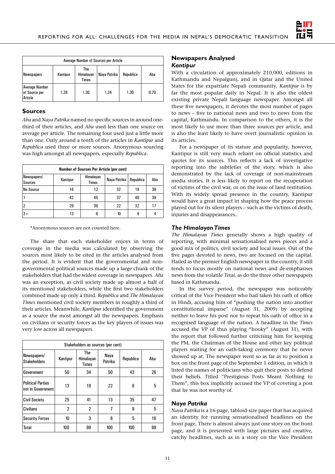

| Average Number of Sources per Article             |          |                                  |              |           |      |  |
|---------------------------------------------------|----------|----------------------------------|--------------|-----------|------|--|
| Newspapers                                        | Kantipur | The<br>Himalayan<br><b>Times</b> | Nava Patrika | Republica | Aba  |  |
| <b>Average Number</b><br>of Source per<br>Article | 1.26     | 1.30                             | 1.24         | 1.30      | 0.70 |  |

#### **Sources**

*Aba* and *Naya Patrika* named no specific sources in around onethird of their articles, and *Aba* used less than one source on average per article. The remaining four used just a little more than one. Only around a tenth of the articles in *Kantipur* and *Republica* used three or more sources. Anonymous sourcing was high amongst all newspapers, especially *Republica*.

| <b>Number of Sources Per Article (per cent)</b> |          |                           |              |           |     |  |  |
|-------------------------------------------------|----------|---------------------------|--------------|-----------|-----|--|--|
| Newspapers/<br><b>Sources</b>                   | Kantipur | Himalayan<br><b>Times</b> | Nava Patrika | Republica | Aba |  |  |
| No Source                                       | 16       | 12                        | 32           | 19        | 39  |  |  |
|                                                 | 42       | 45                        | 37           | 40        | 39  |  |  |
|                                                 | 29       | 36                        | 22           | 32        | 17  |  |  |
| $ 3+$                                           | 13       |                           | 10           | 9         |     |  |  |

\*Anonymous sources are not counted here.

The share that each stakeholder enjoys in terms of coverage in the media was calculated by observing the sources most likely to be cited in the articles analysed from the period. It is evident that the governmental and nongovernmental political sources made up a large chunk of the stakeholders that had the widest coverage in newspapers. *Aba* was an exception, as civil society made up almost a half of its mentioned stakeholders, while the first two stakeholders combined made up only a third. *Republica* and *The Himalayan Times* mentioned civil society members in roughly a third of their articles. Meanwhile, *Kantipur* identified the government as a source the most amongst all the newspapers. Emphasis on civilians or security forces as the key players of issues was very low across all newspapers.

| Stakeholders as sources (per cent)            |                |                                  |                 |           |     |  |  |
|-----------------------------------------------|----------------|----------------------------------|-----------------|-----------|-----|--|--|
| Newspapers/<br><b>Stakeholders</b>            | Kantipur       | The<br>Himalayan<br><b>Times</b> | Naya<br>Patrika | Republica | Aba |  |  |
| Government                                    | 50             | 34                               | 50              | 43        | 26  |  |  |
| <b>Political Parties</b><br>not in Government | 13             | 19                               | 22              | 8         | 5   |  |  |
| <b>Civil Society</b>                          | 25             | 41                               | 13              | 35        | 47  |  |  |
| Civilians                                     | $\overline{2}$ | $\overline{2}$                   | 7               | 9         | 5   |  |  |
| <b>Security Forces</b>                        | 10             | 3                                | 8               | 5         | 16  |  |  |
| Total                                         | 100            | 99                               | 100             | 100       | 99  |  |  |

#### **Newspapers Analysed** *Kantipur*

With a circulation of approximately 210,000, editions in Kathmandu and Nepalgunj, and in Qatar and the United States for the expatriate Nepali community, *Kantipur* is by far the most popular daily in Nepal. It is also the oldest existing private Nepali language newspaper. Amongst all these five newspapers, it devotes the most number of pages to news – five to national news and two to news from the capital, Kathmandu. In comparison to the others, it is the most likely to use more than three sources per article, and is also the least likely to have overt journalistic opinion in its articles.

For a newspaper of its stature and popularity, however, Kantipur is still very much reliant on official statistics and quotes for its sources. This reflects a lack of investigative reporting into the subtleties of the story, which is also demonstrated by the lack of coverage of non-mainstream media stories. It is less likely to report on the recuperation of victims of the civil war, or on the issue of land restitution. With its widely spread presence in the country, Kantipur would have a great impact in shaping how the peace process played out for its silent players – such as the victims of death, injuries and disappearances..

#### *The Himalayan Times*

*The Himalayan Times* generally shows a high quality of reporting, with minimal sensationalised news pieces and a good mix of politics, civil society and local issues. Out of the five pages devoted to news, two are focused on the capital. Hailed as the premier English newspaper in the country, it still tends to focus mostly on national news and de-emphasises news from the volatile *Terai*, as do the three other newspapers based in Kathmandu.

In the survey period, the newspaper was noticeably critical of the Vice President who had taken his oath of office in Hindi, accusing him of "pushing the nation into another constitutional impasse" (August 31, 2009) by accepting neither to leave his post nor to repeat his oath of office in a recognised language of the nation. A headline in the *Times* accused the VP of thus playing "hooky" (August 31), with the report that followed further criticising him for keeping the PM, the Chairman of the House and other key political players waiting for an oath-taking ceremony that he never showed up at. The newspaper went so as far as to position a box on the front page of the September 1 edition, in which it listed the names of politicians who quit their posts to defend their beliefs. Titled "Prestigious Posts Meant Nothing to Them", this box implicitly accused the VP of coveting a post that he was not worthy of.

#### *Naya Patrika*

*Naya Patrika* is a 16-page, tabloid-size paper that has acquired an identity for running sensationalised headlines on the front page. There is almost always just one story on the front page, and it is presented with large pictures and creative, catchy headlines, such as in a story on the Vice President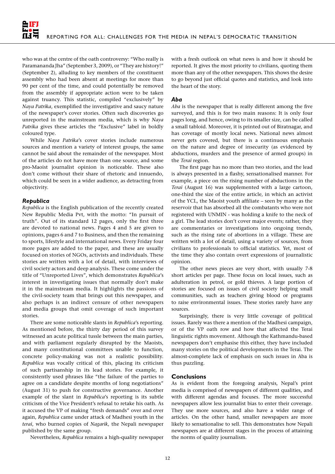who was at the centre of the oath controversy: "Who really is Paramananda Jha" (September 3, 2009), or "They are history!" (September 2), alluding to key members of the constituent assembly who had been absent at meetings for more than 90 per cent of the time, and could potentially be removed from the assembly if appropriate action were to be taken against truancy. This statistic, compiled "exclusively" by *Naya Patrika*, exemplified the investigative and saucy nature of the newspaper's cover stories. Often such discoveries go unreported in the mainstream media, which is why *Naya Patrika* gives these articles the "Exclusive" label in boldly coloured type.

While *Naya Patrika*'s cover stories include numerous sources and mention a variety of interest groups, the same cannot be said about the remainder of the newspaper. Most of the articles do not have more than one source, and some pro-Maoist journalist opinion is noticeable. These also don't come without their share of rhetoric and innuendo, which could be seen in a wider audience, as detracting from objectivity.

#### *Republica*

*Republica* is the English publication of the recently created New Republic Media Pvt, with the motto: "In pursuit of truth". Out of its standard 12 pages, only the first three are devoted to national news. Pages 4 and 5 are given to opinions, pages 6 and 7 to Business, and then the remaining to sports, lifestyle and international news. Every Friday four more pages are added to the paper, and these are usually focused on stories of NGOs, activists and individuals. These stories are written with a lot of detail, with interviews of civil society actors and deep analysis. These come under the title of "Unreported Lives", which demonstrates *Republica*'s interest in investigating issues that normally don't make it in the mainstream media. It highlights the passions of the civil-society team that brings out this newspaper, and also perhaps is an indirect censure of other newspapers and media groups that omit coverage of such important stories.

There are some noticeable slants in *Republica*'s reporting. As mentioned before, the thirty day period of this survey witnessed an acute political tussle between the main parties, and with parliament regularly disrupted by the Maoists, and many constitutional committees unable to function, concrete policy-making was not a realistic possibility. *Republica* was vocally critical of this, placing its criticism of such partisanship in its lead stories. For example, it consistently used phrases like "the failure of the parties to agree on a candidate despite months of long negotiations" (August 31) to push for constructive governance. Another example of the slant in *Republica*'s reporting is its subtle criticism of the Vice President's refusal to retake his oath. As it accused the VP of making "fresh demands" over and over again, *Republica* came under attack of Madhesi youth in the *terai*, who burned copies of *Nagarik*, the Nepali newspaper published by the same group.

Nevertheless, *Republica* remains a high-quality newspaper

with a fresh outlook on what news is and how it should be reported. It gives the most priority to civilians, quoting them more than any of the other newspapers. This shows the desire to go beyond just official quotes and statistics, and look into the heart of the story.

#### *Aba*

*Aba* is the newspaper that is really different among the five surveyed, and this is for two main reasons: It is only four pages long, and hence, owing to its smaller size, can be called a small tabloid. Moreover, it is printed out of Biratnagar, and has coverage of mostly local news. National news almost never gets covered, but there is a continuous emphasis on the nature and degree of insecurity (as evidenced by abductions, murders and the presence of armed groups) in the *Terai* region.

The first page has no more than two stories, and the lead is always presented in a flashy, sensationalised manner. For example, a piece on the rising number of abductions in the *Terai* (August 16) was supplemented with a large cartoon, one-third the size of the entire article, in which an activist of the YCL, the Maoist youth affiliate – seen by many as the reservoir that has absorbed all the combatants who were not registered with UNMIN - was holding a knife to the neck of a girl. The lead stories don't cover major events; rather, they are commentaries or investigations into ongoing trends, such as the rising rate of abortions in a village. These are written with a lot of detail, using a variety of sources, from civilians to professionals to official statistics. Yet, most of the time they also contain overt expressions of journalistic opinion.

The other news pieces are very short, with usually 7-8 short articles per page. These focus on local issues, such as adulteration in petrol, or gold thieves. A large portion of stories are focused on issues of civil society helping small communities, such as teachers giving blood or programs to raise environmental issues. These stories rarely have any sources.

Surprisingly, there is very little coverage of political issues. Rarely was there a mention of the Madhesi campaign, or of the VP oath row and how that affected the Terai linguistic rights movement. Although the Kathmandu-based newspapers don't emphasise this either, they have included many stories on the political developments in the Terai. The almost-complete lack of emphasis on such issues in Aba is thus puzzling.

#### **Conclusions**

As is evident from the foregoing analysis, Nepal's print media is comprised of newspapers of different qualities, and with different agendas and focuses. The more successful newspapers allow less journalist bias to enter their coverage. They use more sources, and also have a wider range of articles. On the other hand, smaller newspapers are more likely to sensationalise to sell. This demonstrates how Nepali newspapers are at different stages in the process of attaining the norms of quality journalism.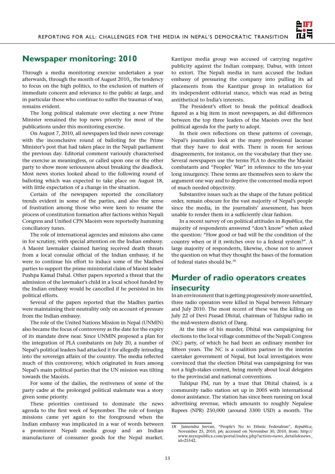

## **Newspaper monitoring: 2010**

Through a media monitoring exercise undertaken a year afterwards, through the month of August 2010,, the tendency to focus on the high politics, to the exclusion of matters of immediate concern and relevance to the public at large, and in particular those who continue to suffer the traumas of war, remains evident.

The long political stalemate over electing a new Prime Minister remained the top news priority for most of the publications under this monitoring exercise.

On August 7, 2010, all newspapers led their news coverage with the inconclusive round of balloting for the Prime Minister's post that had taken place in the Nepali parliament the previous day. Editorial comment variously characterised the exercise as meaningless, or called upon one or the other party to show more seriousness about breaking the deadlock. Most news stories looked ahead to the following round of balloting which was expected to take place on August 18, with little expectation of a change in the situation.

Certain of the newspapers reported the conciliatory trends evident in some of the parties, and also the sense of frustration among those who were keen to resume the process of constitution formation after factions within Nepali Congress and Unified CPN Maoists were reportedly humming conciliatory tunes.

The role of international agencies and missions also came in for scrutiny, with special attention on the Indian embassy. A Maoist lawmaker claimed having received death threats from a local consular official of the Indian embassy, if he were to continue his effort to induce some of the Madhesi parties to support the prime ministerial claim of Maoist leader Pushpa Kamal Dahal. Other papers reported a threat that the admission of the lawmaker's child in a local school funded by the Indian embassy would be cancelled if he persisted in his political efforts.

Several of the papers reported that the Madhes parties were maintaining their neutrality only on account of pressure from the Indian embassy.

The role of the United Nations Mission in Nepal (UNMIN) also became the focus of controversy as the date for the expiry of its mandate drew near. Since UNMIN proposed a plan for the integration of PLA combatants on July 20, a number of Nepal's political leaders had attacked it for allegedly intruding into the sovereign affairs of the country. The media reflected much of this controversy, which originated in fears among Nepal's main political parties that the UN mission was tilting towards the Maoists.

For some of the dailies, the restiveness of some of the party cadre at the prolonged political stalemate was a story given some priority.

These priorities continued to dominate the news agenda to the first week of September. The role of foreign missions came yet again to the foreground when the Indian embassy was implicated in a war of words between a prominent Nepali media group and an Indian manufacturer of consumer goods for the Nepal market. Kantipur media group was accused of carrying negative publicity against the Indian company, Dabur, with intent to extort. The Nepali media in turn accused the Indian embassy of pressuring the company into pulling its ad placements from the Kantipur group in retaliation for its independent editorial stance, which was read as being antithetical to India's interests.

The President's effort to break the political deadlock figured as a big item in most newspapers, as did differences between the top three leaders of the Maoists over the best political agenda for the party to adopt.

In their own reflections on these patterns of coverage, Nepal's journalists look at the many professional lacunae that they have to deal with. There is room for serious disagreements, for instance, on the vocabulary that they use. Several newspapers use the terms PLA to describe the Maoist combatants and "Peoples' War" in reference to the ten-year long insurgency. These terms are themselves seen to skew the argument one way and to deprive the concerned media report of much needed objectivity.

Substantive issues such as the shape of the future political order, remain obscure for the vast majority of Nepal's people since the media, in the journalists' assessment, has been unable to render them in a sufficiently clear fashion.

In a recent survey of on political attitudes in *Republica*, the majority of respondents answered "don't know" when asked the question: "How good or bad will be the condition of the country when or if it switches over to a federal system?". A large majority of respondents, likewise, chose not to answer the question on what they thought the bases of the formation of federal states should be.18

## **Murder of radio operators creates insecurity**

In an environment that is getting progressively more unsettled, three radio operators were killed in Nepal between February and July 2010. The most recent of these was the killing on July 22 of Devi Prasad Dhital, chairman of Tulsipur radio in the mid-western district of Dang.

At the time of his murder, Dhital was campaigning for elections to the local village committee of the Nepali Congress (NC) party, of which he had been an ordinary member for fifteen years. The NC is a coalition partner in the interim caretaker government of Nepal, but local investigators were convinced that the election Dhital was campaigning for was not a high-stakes contest, being merely about local delegates to the provincial and national conventions.

Tulsipur FM, run by a trust that Dhital chaired, is a community radio station set up in 2005 with international donor assistance. The station has since been running on local advertising revenue, which amounts to roughly Nepalese Rupees (NPR) 250,000 (around 3300 USD) a month. The

<sup>18</sup> Jainendra Jeevan, "People's No to Ethnic Federalism", *Republica*, November 25, 2010, p6; accessed on November 30, 2010, from: http:// www.myrepublica.com/portal/index.php?action=news\_details&news\_ id=25542.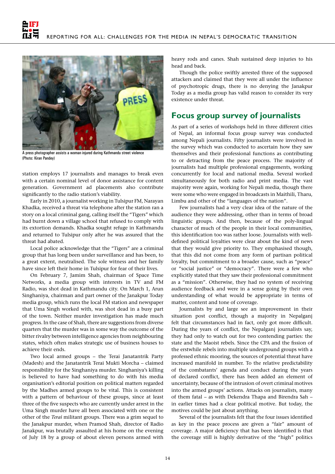

A press photographer assists a woman injured during Kathmandu street violence (Photo: Kiran Pandey)

station employs 17 journalists and manages to break even with a certain nominal level of donor assistance for content generation. Government ad placements also contribute significantly to the radio station's viability.

Early in 2010, a journalist working in Tulsipur FM, Narayan Khadka, received a threat via telephone after the station ran a story on a local criminal gang, calling itself the "Tigers" which had burnt down a village school that refused to comply with its extortion demands. Khadka sought refuge in Kathmandu and returned to Tulsipur only after he was assured that the threat had abated.

Local police acknowledge that the "Tigers" are a criminal group that has long been under surveillance and has been, to a great extent, neutralised. The sole witness and her family have since left their home in Tulsipur for fear of their lives.

On February 7, Jamim Shah, chairman of Space Time Networks, a media group with interests in TV and FM Radio, was shot dead in Kathmandu city. On March 1, Arun Singhaniya, chairman and part owner of the Janakpur Today media group, which runs the local FM station and newspaper that Uma Singh worked with, was shot dead in a busy part of the town. Neither murder investigation has made much progress. In the case of Shah, there are suggestions from diverse quarters that the murder was in some way the outcome of the bitter rivalry between intelligence agencies from neighbouring states, which often makes strategic use of business houses to achieve their ends.

Two local armed groups – the Terai Janatantrik Party (Madesh) and the Janatantrik Terai Mukti Morcha – claimed responsibility for the Singhaniya murder. Singhaniya's killing is believed to have had something to do with his media organisation's editorial position on political matters regarded by the Madhes armed groups to be vital. This is consistent with a pattern of behaviour of these groups, since at least three of the five suspects who are currently under arrest in the Uma Singh murder have all been associated with one or the other of the *Terai* militant groups. There was a grim sequel to the Janakpur murder, when Pramod Shah, director of Radio Janakpur, was brutally assaulted at his home on the evening of July 18 by a group of about eleven persons armed with heavy rods and canes. Shah sustained deep injuries to his head and back.

Though the police swiftly arrested three of the supposed attackers and claimed that they were all under the influence of psychotropic drugs, there is no denying the Janakpur Today as a media group has valid reason to consider its very existence under threat.

## **Focus group survey of journalists**

As part of a series of workshops held in three different cities of Nepal, an informal focus group survey was conducted among Nepali journalists. Fifty journalists were involved in the survey which was conducted to ascertain how they saw themselves and their professional functions as contributing to or detracting from the peace process. The majority of journalists had multiple professional engagements, working concurrently for local and national media. Several worked simultaneously for both radio and print media. The vast majority were again, working for Nepali media, though there were some who were engaged in broadcasts in Maithili, Tharu, Limbu and other of the "languages of the nation".

Few journalists had a very clear idea of the nature of the audience they were addressing, other than in terms of broad linguistic groups. And then, because of the poly-lingual character of much of the people in their local communities, this identification too was rather loose. Journalists with welldefined political loyalties were clear about the kind of news that they would give priority to. They emphasised though, that this did not come from any form of partisan political loyalty, but commitment to a broader cause, such as "peace" or "social justice" or "democracy". There were a few who explicitly stated that they saw their professional commitment as a "mission". Otherwise, they had no system of receiving audience feedback and were in a sense going by their own understanding of what would be appropriate in terms of matter, content and tone of coverage.

Journalists by and large see an improvement in their situation post conflict, though a majority in Nepalganj felt that circumstances had in fact, only got more difficult. During the years of conflict, the Nepalganj journalists say, they had only to watch out for two contending parties: the state and the Maoist rebels. Since the CPA and the fission of the erstwhile rebels into multiple underground groups with a professed ethnic mooring, the sources of potential threat have increased manifold in number. To the relative predictability of the combatants' agenda and conduct during the years of declared conflict, there has been added an element of uncertainty, because of the intrusion of overt criminal motives into the armed groups' actions. Attacks on journalists, many of them fatal – as with Dekendra Thapa and Birendra Sah – in earlier times had a clear political motive. But today, the motives could be just about anything.

Several of the journalists felt that the four issues identified as key in the peace process are given a "fair" amount of coverage. A major deficiency that has been identified is that the coverage still is highly derivative of the "high" politics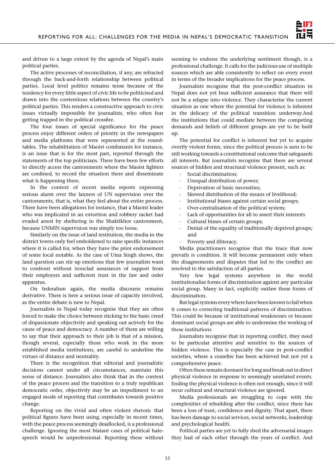

and driven to a large extent by the agenda of Nepal's main political parties.

The active processes of reconciliation, if any, are refracted through the back-and-forth relationship between political parties. Local level politics remains tense because of the tendency for every little aspect of civic life to be politicised and drawn into the contentious relations between the country's political parties. This renders a constructive approach to civic issues virtually impossible for journalists, who often fear getting trapped in the political crossfire.

The four issues of special significance for the peace process enjoy different orders of priority in the newspapers and media platforms that were represented at the roundtables. The rehabilitation of Maoist combatants for instance, is an issue that is for the most part, reported through the statements of the top politicians. There have been few efforts to directly access the cantonments where the Maoist fighters are confined, to record the situation there and disseminate what is happening there.

In the context of recent media reports expressing serious alarm over the laxness of UN supervision over the cantonments, that is, what they feel about the entire process. There have been allegations for instance, that a Maoist leader who was implicated in an extortion and robbery racket had evaded arrest by sheltering in the Shaktikhor cantonment, because UNMIN supervision was simply too loose.

Similarly on the issue of land restitution, the media in the district towns only feel emboldened to raise specific instances where it is called for, when they have the prior endorsement of some local notable. As the case of Uma Singh shows, the land question can stir up emotions that few journalists want to confront without ironclad assurances of support from their employers and sufficient trust in the law and order apparatus.

On federalism again, the media discourse remains derivative. There is here a serious issue of capacity involved, as the entire debate is new to Nepal.

Journalists in Nepal today recognise that they are often forced to make the choice between sticking to the basic creed of dispassionate objectivity and speaking out actively for the cause of peace and democracy. A number of them are willing to say that their approach to their job is that of a mission, though several, especially those who work in the more established media institutions, are careful to underline the virtues of distance and neutrality.

There is the recognition that editorial and journalistic decisions cannot under all circumstances, maintain this sense of distance. Journalists also think that in the context of the peace process and the transition to a truly republican democratic order, objectivity may be an impediment to an engaged mode of reporting that contributes towards positive change.

Reporting on the vivid and often violent rhetoric that political figures have been using, especially in recent times, with the peace process seemingly deadlocked, is a professional challenge. Ignoring the most blatant cases of political hatespeech would be unprofessional. Reporting these without

seeming to endorse the underlying sentiment though, is a professional challenge. It calls for the judicious use of multiple sources which are able consistently to reflect on every event in terms of the broader implications for the peace process.

Journalists recognise that the post-conflict situation in Nepal does not yet bear sufficient assurance that there will not be a relapse into violence. They characterise the current situation as one where the potential for violence is inherent in the delicacy of the political transition underway.And the institutions that could mediate between the competing demands and beliefs of different groups are yet to be built up.

The potential for conflict is inherent but yet to acquire overtly violent forms, since the political process is seen to be still working towards a constitutional outcome that safeguards all interests. But journalists recognise that there are several sources of hidden and structural violence present, such as:

- Social discrimination;
- Unequal distribution of power;
- Deprivation of basic necessities;
- Skewed distribution of the means of livelihood;
- Institutional biases against certain social groups;
- Over-centralisation of the political system;
- Lack of opportunities for all to assert their interests
- · Cultural biases of certain groups;
- · Denial of the equality of traditionally deprived groups; and
- Poverty and illiteracy.

Media practitioners recognise that the truce that now prevails is condition. It will become permanent only when the disagreements and disputes that led to the conflict are resolved to the satisfaction of all parties.

Very few legal systems anywhere in the world institutionalise forms of discrimination against any particular social group. Many in fact, explicitly outlaw these forms of discrimination.

But legal systems every where have been known to fail when it comes to correcting traditional patterns of discrimination. This could be because of institutional weaknesses or because dominant social groups are able to undermine the working of these institutions

Journalists recognise that in reporting conflict, they need to be particular attentive and sensitive to the sources of hidden violence. This is especially the case in post-conflict societies, where a ceasefire has been achieved but not yet a comprehensive peace.

Often these remain dormant for long and break out in direct physical violence in response to seemingly unrelated events. Ending the physical violence is often not enough, since it will recur cultural and structural violence are ignored.

Media professionals are struggling to cope with the complexities of rebuilding after the conflict, since there has been a loss of trust, confidence and dignity. That apart, there has been damage to social services, social networks, leadership and psychological health.

Political parties are yet to fully shed the adversarial images they had of each other through the years of conflict. And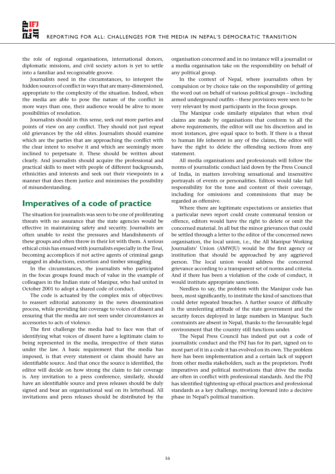the role of regional organisations, international donors, diplomatic missions, and civil society actors is yet to settle into a familiar and recognisable groove.

Journalists need in the circumstances, to interpret the hidden sources of conflict in ways that are many-dimensioned, appropriate to the complexity of the situation. Indeed, when the media are able to pose the nature of the conflict in more ways than one, their audience would be alive to more possibilities of resolution.

Journalists should in this sense, seek out more parties and points of view on any conflict. They should not just repeat old grievances by the old elites. Journalists should examine which are the parties that are approaching the conflict with the clear intent to resolve it and which are seemingly more inclined to perpetuate it. These should be written about clearly. And journalists should acquire the professional and practical skills to meet with people of different backgrounds, ethnicities and interests and seek out their viewpoints in a manner that does them justice and minimises the possibility of misunderstanding.

## **Imperatives of a code of practice**

The situation for journalists was seen to be one of proliferating threats with no assurance that the state agencies would be effective in maintaining safety and security. Journalists are often unable to resist the pressures and blandishments of these groups and often throw in their lot with them. A serious ethical crisis has ensued with journalists especially in the *Terai*, becoming accomplices if not active agents of criminal gangs engaged in abductions, extortion and timber smuggling.

In the circumstances, the journalists who participated in the focus groups found much of value in the example of colleagues in the Indian state of Manipur, who had united in October 2001 to adopt a shared code of conduct.

The code is actuated by the complex mix of objectives: to reassert editorial autonomy in the news dissemination process, while providing fair coverage to voices of dissent and ensuring that the media are not seen under circumstances as accessories to acts of violence.

The first challenge the media had to face was that of identifying what voices of dissent have a legitimate claim to being represented in the media, irrespective of their status under the law. A basic requirement that the media has imposed, is that every statement or claim should have an identifiable source. And that once the source is identified, the editor will decide on how strong the claim to fair coverage is. Any invitation to a press conference, similarly, should have an identifiable source and press releases should be duly signed and bear an organisational seal on its letterhead. All invitations and press releases should be distributed by the

organisation concerned and in no instance will a journalist or a media organisation take on the responsibility on behalf of any political group.

In the context of Nepal, where journalists often by compulsion or by choice take on the responsibility of getting the word out on behalf of various political groups – including armed underground outfits – these provisions were seen to be very relevant by most participants in the focus groups.

The Manipur code similarly stipulates that when rival claims are made by organisations that conform to all the above requirements, the editor will use his discretion and in most instances, give equal space to both. If there is a threat to human life inherent in any of the claims, the editor will have the right to delete the offending sections from any statement.

All media organisations and professionals will follow the norms of journalistic conduct laid down by the Press Council of India, in matters involving sensational and insensitive portrayals of events or personalities. Editors would take full responsibility for the tone and content of their coverage, including for omissions and commissions that may be regarded as offensive.

Where there are legitimate expectations or anxieties that a particular news report could create communal tension or offence, editors would have the right to delete or omit the concerned material. In all but the minor grievances that could be settled through a letter to the editor of the concerned news organisation, the local union, i.e., the All Manipur Working Journalists' Union (AMWJU) would be the first agency or institution that should be approached by any aggrieved person. The local union would address the concerned grievance according to a transparent set of norms and criteria. And if there has been a violation of the code of conduct, it would institute appropriate sanctions.

Needless to say, the problem with the Manipur code has been, most significantly, to institute the kind of sanctions that could deter repeated breaches. A further source of difficulty is the unrelenting attitude of the state government and the security forces deployed in large numbers in Manipur. Such constraints are absent in Nepal, thanks to the favourable legal environment that the country still functions under.

The Nepal Press Council has indeed put out a code of journalistic conduct and the FNJ has for its part, signed on to most part of it in a code it has evolved on its own. The problem here has been implementation and a certain lack of support from other media stakeholders, such as the proprietors. Profit imperatives and political motivations that drive the media are often in conflict with professional standards. And the FNJ has identified tightening up ethical practices and professional standards as a key challenge, moving forward into a decisive phase in Nepal's political transition.